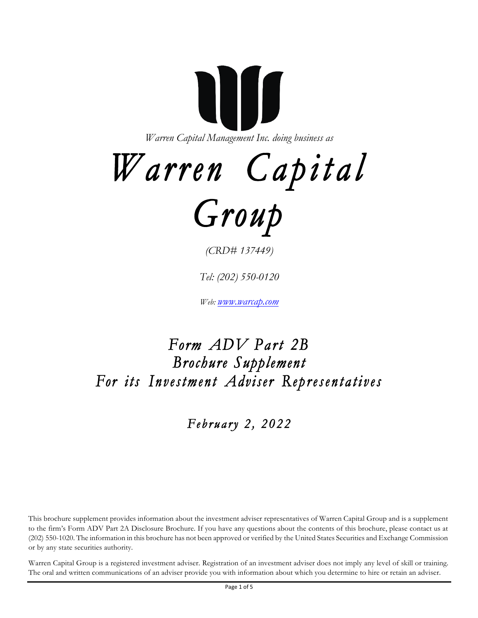**AIII** *Warren Capital Management Inc. doing business as*

# *Warren Capital*



*(CRD# 137449)*

*Tel: (202) 550-0120*

*Web: www.warcap.com*

## *Form ADV Part 2B Brochure Supplement For its Investment Adviser Representatives*

 *February 2, 2022* 

This brochure supplement provides information about the investment adviser representatives of Warren Capital Group and is a supplement to the firm's Form ADV Part 2A Disclosure Brochure. If you have any questions about the contents of this brochure, please contact us at (202) 550-1020. The information in this brochure has not been approved or verified by the United States Securities and Exchange Commission or by any state securities authority.

Warren Capital Group is a registered investment adviser. Registration of an investment adviser does not imply any level of skill or training. The oral and written communications of an adviser provide you with information about which you determine to hire or retain an adviser.

Page 1 of 5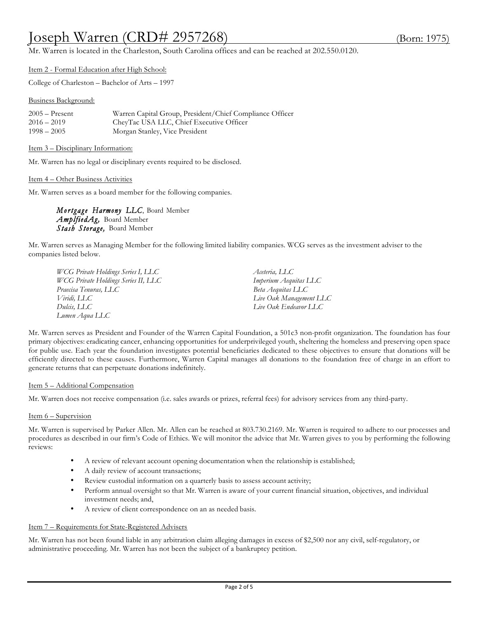## Joseph Warren (CRD# 2957268) (Born: 1975)

Mr. Warren is located in the Charleston, South Carolina offices and can be reached at 202.550.0120.

Item 2 - Formal Education after High School:

College of Charleston – Bachelor of Arts – 1997

Business Background:

| $2005 -$ Present | Warren Capital Group, President/Chief Compliance Officer |
|------------------|----------------------------------------------------------|
| $2016 - 2019$    | CheyTac USA LLC, Chief Executive Officer                 |
| $1998 - 2005$    | Morgan Stanley, Vice President                           |

Item 3 – Disciplinary Information:

Mr. Warren has no legal or disciplinary events required to be disclosed.

Item 4 – Other Business Activities

Mr. Warren serves as a board member for the following companies.

*Mortgage Harmony LLC*, Board Member *AmplfiedAg,* Board Member *Stash Storage,* Board Member

Mr. Warren serves as Managing Member for the following limited liability companies. WCG serves as the investment adviser to the companies listed below.

*WCG Private Holdings Series I, LLC Aceteria, LLC WCG Private Holdings Series II, LLC Imperium Aequitas LLC Praecisa Tenuras, LLC Beta Aequitas LLC Viridi, LLC Live Oak Management LLC Dulcis, LLC Live Oak Endeavor LLC Lumen Aqua LLC*

Mr. Warren serves as President and Founder of the Warren Capital Foundation, a 501c3 non-profit organization. The foundation has four primary objectives: eradicating cancer, enhancing opportunities for underprivileged youth, sheltering the homeless and preserving open space for public use. Each year the foundation investigates potential beneficiaries dedicated to these objectives to ensure that donations will be efficiently directed to these causes. Furthermore, Warren Capital manages all donations to the foundation free of charge in an effort to generate returns that can perpetuate donations indefinitely.

#### Item 5 – Additional Compensation

Mr. Warren does not receive compensation (i.e. sales awards or prizes, referral fees) for advisory services from any third-party.

#### Item 6 – Supervision

Mr. Warren is supervised by Parker Allen. Mr. Allen can be reached at 803.730.2169. Mr. Warren is required to adhere to our processes and procedures as described in our firm's Code of Ethics. We will monitor the advice that Mr. Warren gives to you by performing the following reviews:

- A review of relevant account opening documentation when the relationship is established;
- A daily review of account transactions;
- Review custodial information on a quarterly basis to assess account activity;
- Perform annual oversight so that Mr. Warren is aware of your current financial situation, objectives, and individual investment needs; and,
- A review of client correspondence on an as needed basis.

#### Item 7 – Requirements for State-Registered Advisers

Mr. Warren has not been found liable in any arbitration claim alleging damages in excess of \$2,500 nor any civil, self-regulatory, or administrative proceeding. Mr. Warren has not been the subject of a bankruptcy petition.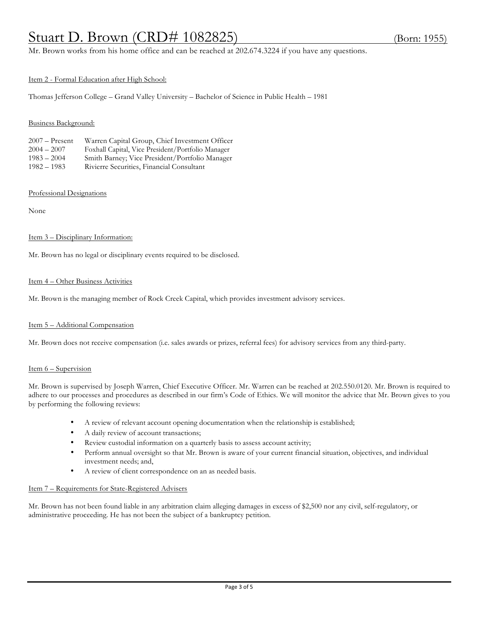## Stuart D. Brown (CRD# 1082825) (Born: 1955)

Mr. Brown works from his home office and can be reached at 202.674.3224 if you have any questions.

#### Item 2 - Formal Education after High School:

Thomas Jefferson College – Grand Valley University – Bachelor of Science in Public Health – 1981

#### Business Background:

| $2007 -$ Present | Warren Capital Group, Chief Investment Officer    |
|------------------|---------------------------------------------------|
| $2004 - 2007$    | Foxhall Capital, Vice President/Portfolio Manager |
| $1983 - 2004$    | Smith Barney; Vice President/Portfolio Manager    |
| $1982 - 1983$    | Rivierre Securities, Financial Consultant         |

#### Professional Designations

None

#### Item 3 – Disciplinary Information:

Mr. Brown has no legal or disciplinary events required to be disclosed.

#### Item 4 – Other Business Activities

Mr. Brown is the managing member of Rock Creek Capital, which provides investment advisory services.

#### Item 5 – Additional Compensation

Mr. Brown does not receive compensation (i.e. sales awards or prizes, referral fees) for advisory services from any third-party.

#### Item 6 – Supervision

Mr. Brown is supervised by Joseph Warren, Chief Executive Officer. Mr. Warren can be reached at 202.550.0120. Mr. Brown is required to adhere to our processes and procedures as described in our firm's Code of Ethics. We will monitor the advice that Mr. Brown gives to you by performing the following reviews:

- A review of relevant account opening documentation when the relationship is established;
- A daily review of account transactions;
- Review custodial information on a quarterly basis to assess account activity;
- Perform annual oversight so that Mr. Brown is aware of your current financial situation, objectives, and individual investment needs; and,
- A review of client correspondence on an as needed basis.

#### Item 7 – Requirements for State-Registered Advisers

Mr. Brown has not been found liable in any arbitration claim alleging damages in excess of \$2,500 nor any civil, self-regulatory, or administrative proceeding. He has not been the subject of a bankruptcy petition.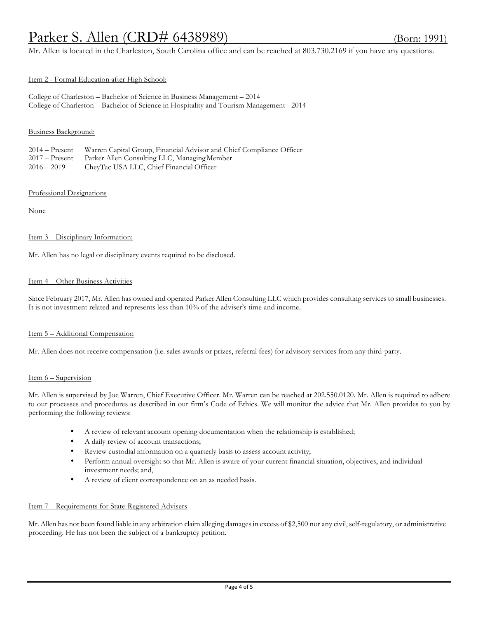## Parker S. Allen *(CRD*# 6438989) (Born: 1991)

Mr. Allen is located in the Charleston, South Carolina office and can be reached at 803.730.2169 if you have any questions.

#### Item 2 - Formal Education after High School:

College of Charleston – Bachelor of Science in Business Management – 2014 College of Charleston – Bachelor of Science in Hospitality and Tourism Management - 2014

#### Business Background:

2014 – Present Warren Capital Group, Financial Advisor and Chief Compliance Officer

2017 – Present Parker Allen Consulting LLC, Managing Member

2016 – 2019 CheyTac USA LLC, Chief Financial Officer

#### Professional Designations

None

#### Item 3 – Disciplinary Information:

Mr. Allen has no legal or disciplinary events required to be disclosed.

#### Item 4 – Other Business Activities

Since February 2017, Mr. Allen has owned and operated Parker Allen Consulting LLC which provides consulting services to small businesses. It is not investment related and represents less than 10% of the adviser's time and income.

#### Item 5 – Additional Compensation

Mr. Allen does not receive compensation (i.e. sales awards or prizes, referral fees) for advisory services from any third-party.

#### Item 6 – Supervision

Mr. Allen is supervised by Joe Warren, Chief Executive Officer. Mr. Warren can be reached at 202.550.0120. Mr. Allen is required to adhere to our processes and procedures as described in our firm's Code of Ethics. We will monitor the advice that Mr. Allen provides to you by performing the following reviews:

- A review of relevant account opening documentation when the relationship is established;
- A daily review of account transactions;
- Review custodial information on a quarterly basis to assess account activity;
- Perform annual oversight so that Mr. Allen is aware of your current financial situation, objectives, and individual investment needs; and,
- A review of client correspondence on an as needed basis.

#### Item 7 – Requirements for State-Registered Advisers

Mr. Allen has not been found liable in any arbitration claim alleging damages in excess of \$2,500 nor any civil,self-regulatory, or administrative proceeding. He has not been the subject of a bankruptcy petition.